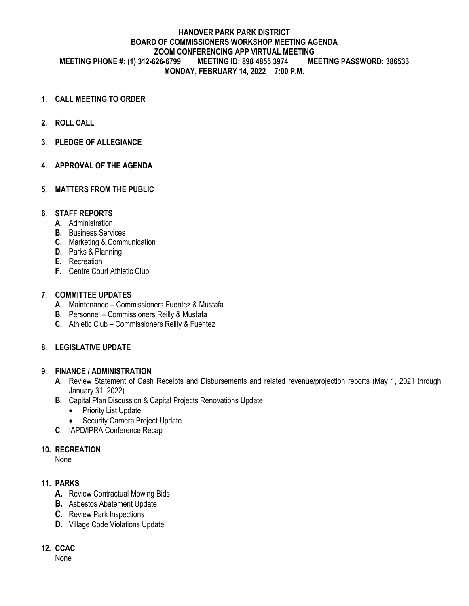### **HANOVER PARK PARK DISTRICT BOARD OF COMMISSIONERS WORKSHOP MEETING AGENDA ZOOM CONFERENCING APP VIRTUAL MEETING MEETING PHONE #: (1) 312-626-6799 MEETING ID: 898 4855 3974 MEETING PASSWORD: 386533 MONDAY, FEBRUARY 14, 2022 7:00 P.M.**

- **1. CALL MEETING TO ORDER**
- **2. ROLL CALL**
- **3. PLEDGE OF ALLEGIANCE**
- **4. APPROVAL OF THE AGENDA**
- **5. MATTERS FROM THE PUBLIC**

#### **6. STAFF REPORTS**

- **A.** Administration
- **B.** Business Services
- **C.** Marketing & Communication
- **D.** Parks & Planning
- **E.** Recreation
- **F.** Centre Court Athletic Club

### **7. COMMITTEE UPDATES**

- **A.** Maintenance Commissioners Fuentez & Mustafa
- **B.** Personnel Commissioners Reilly & Mustafa
- **C.** Athletic Club Commissioners Reilly & Fuentez

### **8. LEGISLATIVE UPDATE**

### **9. FINANCE / ADMINISTRATION**

- **A.** Review Statement of Cash Receipts and Disbursements and related revenue/projection reports (May 1, 2021 through January 31, 2022)
- **B.** Capital Plan Discussion & Capital Projects Renovations Update
	- Priority List Update
	- Security Camera Project Update
- **C.** IAPD/IPRA Conference Recap

#### **10. RECREATION**

None

#### **11. PARKS**

- **A.** Review Contractual Mowing Bids
- **B.** Asbestos Abatement Update
- **C.** Review Park Inspections
- **D.** Village Code Violations Update

### **12. CCAC**

None